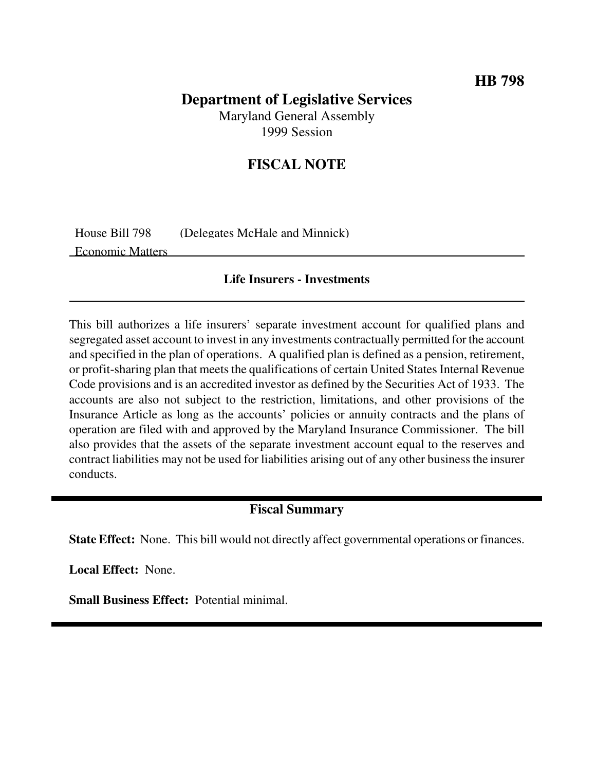## **HB 798**

## **Department of Legislative Services** Maryland General Assembly

1999 Session

# **FISCAL NOTE**

House Bill 798 (Delegates McHale and Minnick) Economic Matters

#### **Life Insurers - Investments**

This bill authorizes a life insurers' separate investment account for qualified plans and segregated asset account to invest in any investments contractually permitted for the account and specified in the plan of operations. A qualified plan is defined as a pension, retirement, or profit-sharing plan that meets the qualifications of certain United States Internal Revenue Code provisions and is an accredited investor as defined by the Securities Act of 1933. The accounts are also not subject to the restriction, limitations, and other provisions of the Insurance Article as long as the accounts' policies or annuity contracts and the plans of operation are filed with and approved by the Maryland Insurance Commissioner. The bill also provides that the assets of the separate investment account equal to the reserves and contract liabilities may not be used for liabilities arising out of any other business the insurer conducts.

### **Fiscal Summary**

**State Effect:** None. This bill would not directly affect governmental operations or finances.

**Local Effect:** None.

**Small Business Effect:** Potential minimal.